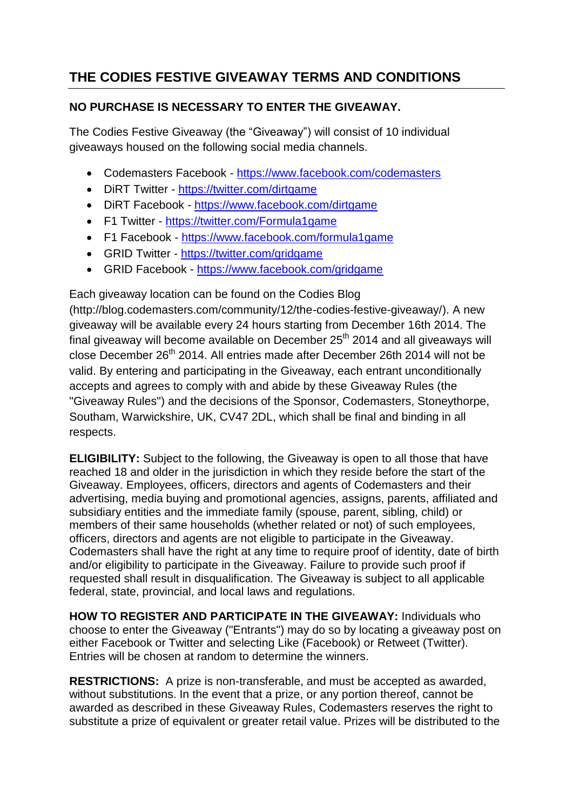## **THE CODIES FESTIVE GIVEAWAY TERMS AND CONDITIONS**

## **NO PURCHASE IS NECESSARY TO ENTER THE GIVEAWAY.**

The Codies Festive Giveaway (the "Giveaway") will consist of 10 individual giveaways housed on the following social media channels.

- Codemasters Facebook <https://www.facebook.com/codemasters>
- DiRT Twitter <https://twitter.com/dirtgame>
- DiRT Facebook <https://www.facebook.com/dirtgame>
- F1 Twitter <https://twitter.com/Formula1game>
- F1 Facebook <https://www.facebook.com/formula1game>
- GRID Twitter <https://twitter.com/gridgame>
- GRID Facebook <https://www.facebook.com/gridgame>

Each giveaway location can be found on the Codies Blog (http://blog.codemasters.com/community/12/the-codies-festive-giveaway/). A new giveaway will be available every 24 hours starting from December 16th 2014. The final giveaway will become available on December  $25<sup>th</sup>$  2014 and all giveaways will close December 26th 2014. All entries made after December 26th 2014 will not be valid. By entering and participating in the Giveaway, each entrant unconditionally accepts and agrees to comply with and abide by these Giveaway Rules (the "Giveaway Rules") and the decisions of the Sponsor, Codemasters, Stoneythorpe, Southam, Warwickshire, UK, CV47 2DL, which shall be final and binding in all respects.

**ELIGIBILITY:** Subject to the following, the Giveaway is open to all those that have reached 18 and older in the jurisdiction in which they reside before the start of the Giveaway. Employees, officers, directors and agents of Codemasters and their advertising, media buying and promotional agencies, assigns, parents, affiliated and subsidiary entities and the immediate family (spouse, parent, sibling, child) or members of their same households (whether related or not) of such employees, officers, directors and agents are not eligible to participate in the Giveaway. Codemasters shall have the right at any time to require proof of identity, date of birth and/or eligibility to participate in the Giveaway. Failure to provide such proof if requested shall result in disqualification. The Giveaway is subject to all applicable federal, state, provincial, and local laws and regulations.

**HOW TO REGISTER AND PARTICIPATE IN THE GIVEAWAY:** Individuals who choose to enter the Giveaway ("Entrants") may do so by locating a giveaway post on either Facebook or Twitter and selecting Like (Facebook) or Retweet (Twitter). Entries will be chosen at random to determine the winners.

**RESTRICTIONS:** A prize is non-transferable, and must be accepted as awarded, without substitutions. In the event that a prize, or any portion thereof, cannot be awarded as described in these Giveaway Rules, Codemasters reserves the right to substitute a prize of equivalent or greater retail value. Prizes will be distributed to the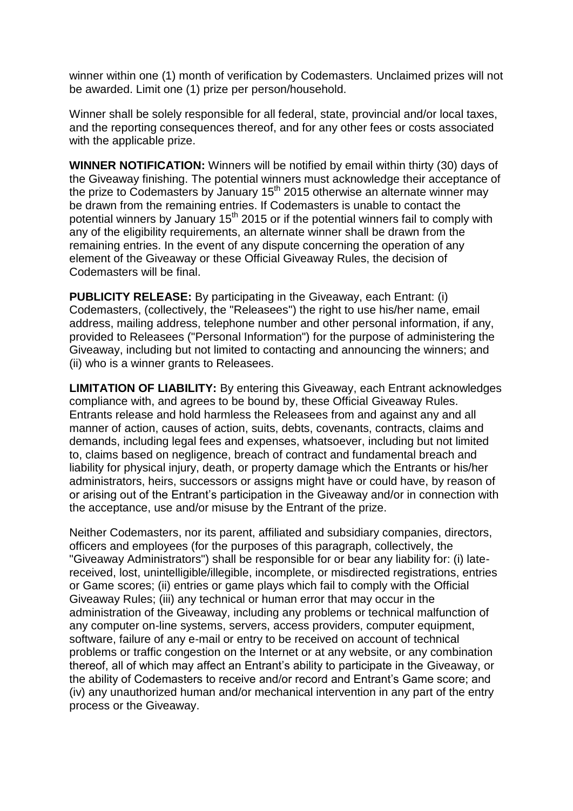winner within one (1) month of verification by Codemasters. Unclaimed prizes will not be awarded. Limit one (1) prize per person/household.

Winner shall be solely responsible for all federal, state, provincial and/or local taxes, and the reporting consequences thereof, and for any other fees or costs associated with the applicable prize.

**WINNER NOTIFICATION:** Winners will be notified by email within thirty (30) days of the Giveaway finishing. The potential winners must acknowledge their acceptance of the prize to Codemasters by January 15<sup>th</sup> 2015 otherwise an alternate winner may be drawn from the remaining entries. If Codemasters is unable to contact the potential winners by January  $15<sup>th</sup>$  2015 or if the potential winners fail to comply with any of the eligibility requirements, an alternate winner shall be drawn from the remaining entries. In the event of any dispute concerning the operation of any element of the Giveaway or these Official Giveaway Rules, the decision of Codemasters will be final.

**PUBLICITY RELEASE:** By participating in the Giveaway, each Entrant: (i) Codemasters, (collectively, the "Releasees") the right to use his/her name, email address, mailing address, telephone number and other personal information, if any, provided to Releasees ("Personal Information") for the purpose of administering the Giveaway, including but not limited to contacting and announcing the winners; and (ii) who is a winner grants to Releasees.

**LIMITATION OF LIABILITY:** By entering this Giveaway, each Entrant acknowledges compliance with, and agrees to be bound by, these Official Giveaway Rules. Entrants release and hold harmless the Releasees from and against any and all manner of action, causes of action, suits, debts, covenants, contracts, claims and demands, including legal fees and expenses, whatsoever, including but not limited to, claims based on negligence, breach of contract and fundamental breach and liability for physical injury, death, or property damage which the Entrants or his/her administrators, heirs, successors or assigns might have or could have, by reason of or arising out of the Entrant's participation in the Giveaway and/or in connection with the acceptance, use and/or misuse by the Entrant of the prize.

Neither Codemasters, nor its parent, affiliated and subsidiary companies, directors, officers and employees (for the purposes of this paragraph, collectively, the "Giveaway Administrators") shall be responsible for or bear any liability for: (i) latereceived, lost, unintelligible/illegible, incomplete, or misdirected registrations, entries or Game scores; (ii) entries or game plays which fail to comply with the Official Giveaway Rules; (iii) any technical or human error that may occur in the administration of the Giveaway, including any problems or technical malfunction of any computer on-line systems, servers, access providers, computer equipment, software, failure of any e-mail or entry to be received on account of technical problems or traffic congestion on the Internet or at any website, or any combination thereof, all of which may affect an Entrant's ability to participate in the Giveaway, or the ability of Codemasters to receive and/or record and Entrant's Game score; and (iv) any unauthorized human and/or mechanical intervention in any part of the entry process or the Giveaway.